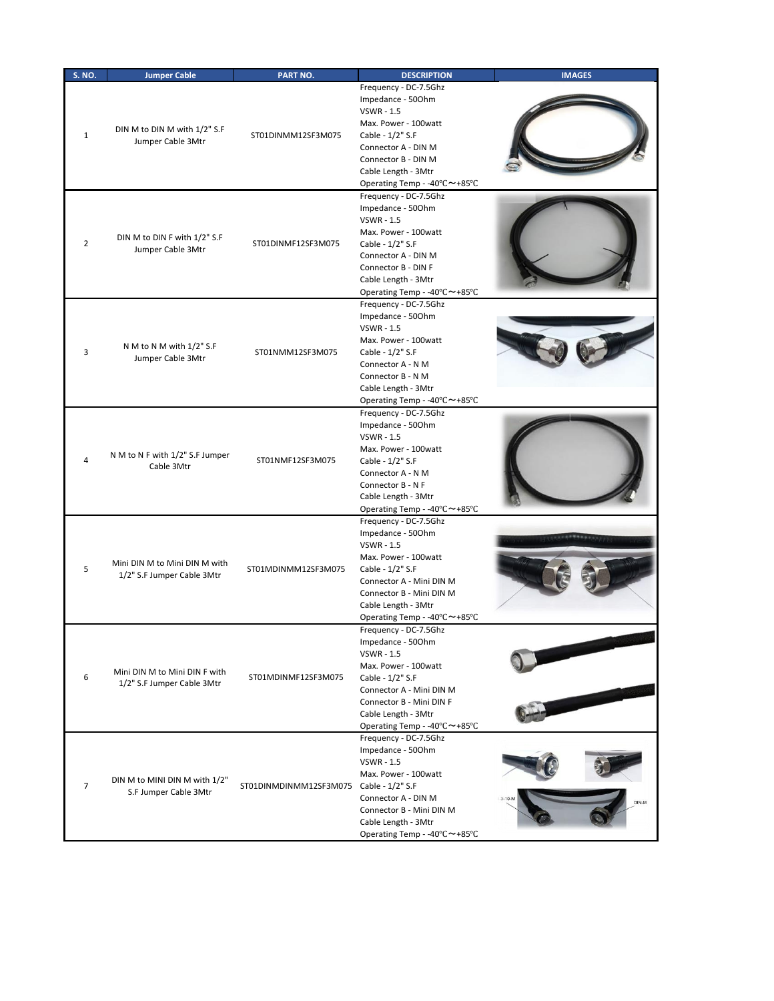| <b>S. NO.</b>  | <b>Jumper Cable</b>                                         | PART NO.                                | <b>DESCRIPTION</b>                                                                                                                                                                                                         | <b>IMAGES</b> |
|----------------|-------------------------------------------------------------|-----------------------------------------|----------------------------------------------------------------------------------------------------------------------------------------------------------------------------------------------------------------------------|---------------|
| $\mathbf{1}$   | DIN M to DIN M with 1/2" S.F<br>Jumper Cable 3Mtr           | ST01DINMM12SF3M075                      | Frequency - DC-7.5Ghz<br>Impedance - 500hm<br><b>VSWR - 1.5</b><br>Max. Power - 100watt<br>Cable - 1/2" S.F<br>Connector A - DIN M<br>Connector B - DIN M<br>Cable Length - 3Mtr<br>Operating Temp - -40°C~+85°C           |               |
| $\overline{2}$ | DIN M to DIN F with 1/2" S.F<br>Jumper Cable 3Mtr           | ST01DINMF12SF3M075                      | Frequency - DC-7.5Ghz<br>Impedance - 500hm<br><b>VSWR - 1.5</b><br>Max. Power - 100watt<br>Cable - 1/2" S.F<br>Connector A - DIN M<br>Connector B - DIN F<br>Cable Length - 3Mtr<br>Operating Temp - -40°C~+85°C           |               |
| 3              | N M to N M with 1/2" S.F<br>Jumper Cable 3Mtr               | ST01NMM12SF3M075                        | Frequency - DC-7.5Ghz<br>Impedance - 500hm<br><b>VSWR - 1.5</b><br>Max. Power - 100watt<br>Cable - 1/2" S.F<br>Connector A - N M<br>Connector B - N M<br>Cable Length - 3Mtr<br>Operating Temp - -40°C~+85°C               |               |
| 4              | N M to N F with 1/2" S.F Jumper<br>Cable 3Mtr               | ST01NMF12SF3M075                        | Frequency - DC-7.5Ghz<br>Impedance - 500hm<br><b>VSWR - 1.5</b><br>Max. Power - 100watt<br>Cable - 1/2" S.F<br>Connector A - N M<br>Connector B - N F<br>Cable Length - 3Mtr<br>Operating Temp - -40°C~+85°C               |               |
| 5              | Mini DIN M to Mini DIN M with<br>1/2" S.F Jumper Cable 3Mtr | ST01MDINMM12SF3M075                     | Frequency - DC-7.5Ghz<br>Impedance - 500hm<br><b>VSWR - 1.5</b><br>Max. Power - 100watt<br>Cable - 1/2" S.F<br>Connector A - Mini DIN M<br>Connector B - Mini DIN M<br>Cable Length - 3Mtr<br>Operating Temp - -40°C~+85°C |               |
| 6              | Mini DIN M to Mini DIN F with<br>1/2" S.F Jumper Cable 3Mtr | ST01MDINMF12SF3M075                     | Frequency - DC-7.5Ghz<br>Impedance - 500hm<br><b>VSWR - 1.5</b><br>Max. Power - 100watt<br>Cable - 1/2" S.F<br>Connector A - Mini DIN M<br>Connector B - Mini DIN F<br>Cable Length - 3Mtr<br>Operating Temp - -40°C~+85°C |               |
| $\overline{7}$ | DIN M to MINI DIN M with 1/2"<br>S.F Jumper Cable 3Mtr      | ST01DINMDINMM12SF3M075 Cable - 1/2" S.F | Frequency - DC-7.5Ghz<br>Impedance - 500hm<br><b>VSWR - 1.5</b><br>Max. Power - 100watt<br>Connector A - DIN M<br>Connector B - Mini DIN M<br>Cable Length - 3Mtr<br>Operating Temp - -40°C~+85°C                          |               |